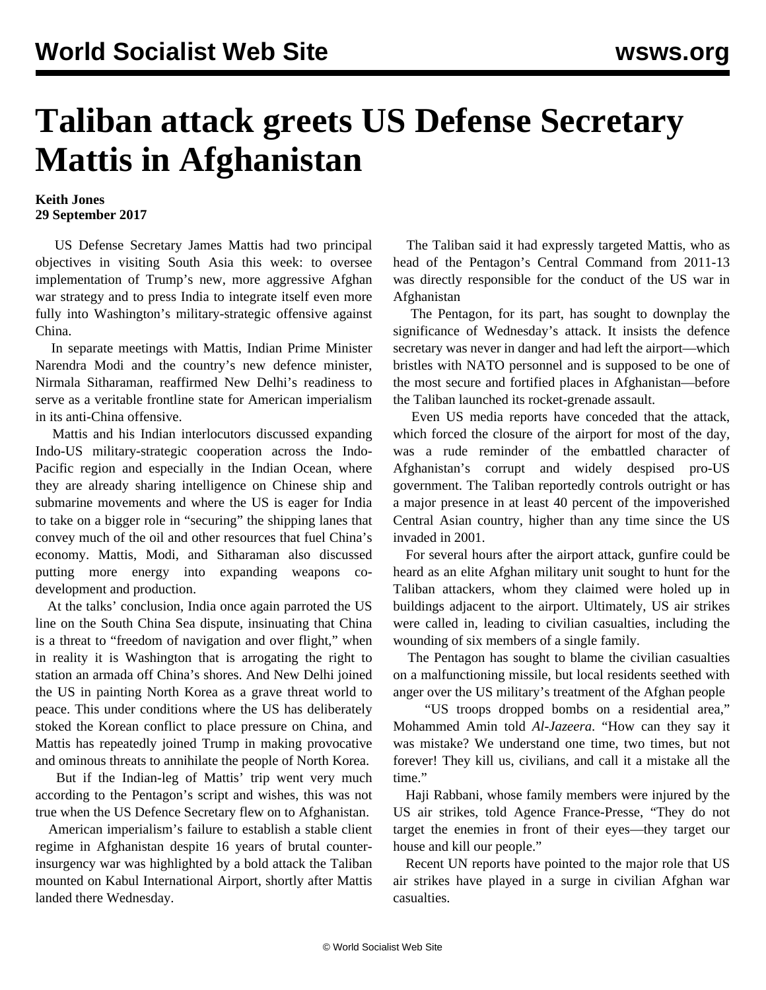## **Taliban attack greets US Defense Secretary Mattis in Afghanistan**

## **Keith Jones 29 September 2017**

 US Defense Secretary James Mattis had two principal objectives in visiting South Asia this week: to oversee implementation of Trump's new, more aggressive Afghan war strategy and to press India to integrate itself even more fully into Washington's military-strategic offensive against China.

 In separate meetings with Mattis, Indian Prime Minister Narendra Modi and the country's new defence minister, Nirmala Sitharaman, reaffirmed New Delhi's readiness to serve as a veritable frontline state for American imperialism in its anti-China offensive.

 Mattis and his Indian interlocutors discussed expanding Indo-US military-strategic cooperation across the Indo-Pacific region and especially in the Indian Ocean, where they are already sharing intelligence on Chinese ship and submarine movements and where the US is eager for India to take on a bigger role in "securing" the shipping lanes that convey much of the oil and other resources that fuel China's economy. Mattis, Modi, and Sitharaman also discussed putting more energy into expanding weapons codevelopment and production.

 At the talks' conclusion, India once again parroted the US line on the South China Sea dispute, insinuating that China is a threat to "freedom of navigation and over flight," when in reality it is Washington that is arrogating the right to station an armada off China's shores. And New Delhi joined the US in painting North Korea as a grave threat world to peace. This under conditions where the US has deliberately stoked the Korean conflict to place pressure on China, and Mattis has repeatedly joined Trump in making provocative and ominous threats to annihilate the people of North Korea.

 But if the Indian-leg of Mattis' trip went very much according to the Pentagon's script and wishes, this was not true when the US Defence Secretary flew on to Afghanistan.

 American imperialism's failure to establish a stable client regime in Afghanistan despite 16 years of brutal counterinsurgency war was highlighted by a bold attack the Taliban mounted on Kabul International Airport, shortly after Mattis landed there Wednesday.

 The Taliban said it had expressly targeted Mattis, who as head of the Pentagon's Central Command from 2011-13 was directly responsible for the conduct of the US war in Afghanistan

 The Pentagon, for its part, has sought to downplay the significance of Wednesday's attack. It insists the defence secretary was never in danger and had left the airport—which bristles with NATO personnel and is supposed to be one of the most secure and fortified places in Afghanistan—before the Taliban launched its rocket-grenade assault.

 Even US media reports have conceded that the attack, which forced the closure of the airport for most of the day, was a rude reminder of the embattled character of Afghanistan's corrupt and widely despised pro-US government. The Taliban reportedly controls outright or has a major presence in at least 40 percent of the impoverished Central Asian country, higher than any time since the US invaded in 2001.

 For several hours after the airport attack, gunfire could be heard as an elite Afghan military unit sought to hunt for the Taliban attackers, whom they claimed were holed up in buildings adjacent to the airport. Ultimately, US air strikes were called in, leading to civilian casualties, including the wounding of six members of a single family.

 The Pentagon has sought to blame the civilian casualties on a malfunctioning missile, but local residents seethed with anger over the US military's treatment of the Afghan people

 "US troops dropped bombs on a residential area," Mohammed Amin told *Al-Jazeera*. "How can they say it was mistake? We understand one time, two times, but not forever! They kill us, civilians, and call it a mistake all the time."

 Haji Rabbani, whose family members were injured by the US air strikes, told Agence France-Presse, "They do not target the enemies in front of their eyes—they target our house and kill our people."

 Recent UN reports have pointed to the major role that US air strikes have played in a surge in civilian Afghan war casualties.